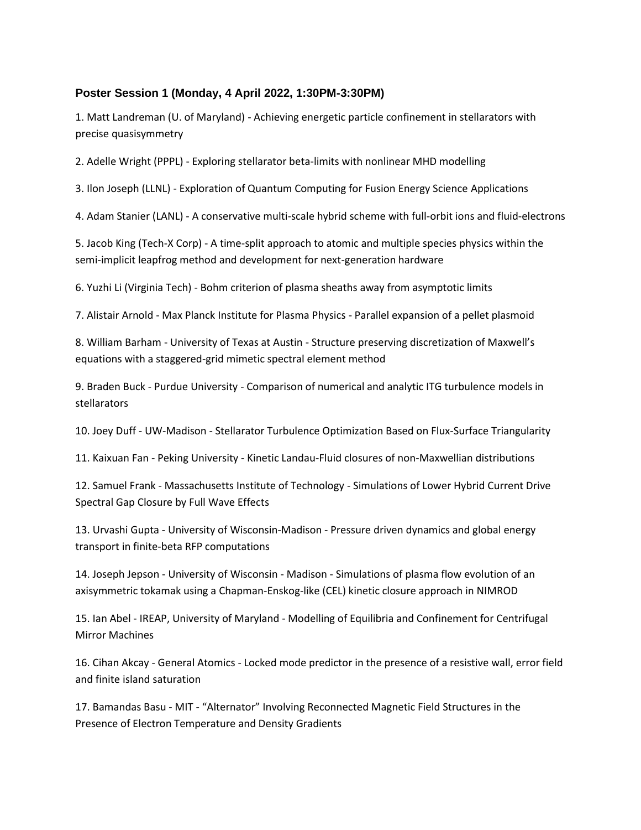## **Poster Session 1 (Monday, 4 April 2022, 1:30PM-3:30PM)**

1. Matt Landreman (U. of Maryland) - Achieving energetic particle confinement in stellarators with precise quasisymmetry

2. Adelle Wright (PPPL) - Exploring stellarator beta-limits with nonlinear MHD modelling

3. Ilon Joseph (LLNL) - Exploration of Quantum Computing for Fusion Energy Science Applications

4. Adam Stanier (LANL) - A conservative multi-scale hybrid scheme with full-orbit ions and fluid-electrons

5. Jacob King (Tech-X Corp) - A time-split approach to atomic and multiple species physics within the semi-implicit leapfrog method and development for next-generation hardware

6. Yuzhi Li (Virginia Tech) - Bohm criterion of plasma sheaths away from asymptotic limits

7. Alistair Arnold - Max Planck Institute for Plasma Physics - Parallel expansion of a pellet plasmoid

8. William Barham - University of Texas at Austin - Structure preserving discretization of Maxwell's equations with a staggered-grid mimetic spectral element method

9. Braden Buck - Purdue University - Comparison of numerical and analytic ITG turbulence models in stellarators

10. Joey Duff - UW-Madison - Stellarator Turbulence Optimization Based on Flux-Surface Triangularity

11. Kaixuan Fan - Peking University - Kinetic Landau-Fluid closures of non-Maxwellian distributions

12. Samuel Frank - Massachusetts Institute of Technology - Simulations of Lower Hybrid Current Drive Spectral Gap Closure by Full Wave Effects

13. Urvashi Gupta - University of Wisconsin-Madison - Pressure driven dynamics and global energy transport in finite-beta RFP computations

14. Joseph Jepson - University of Wisconsin - Madison - Simulations of plasma flow evolution of an axisymmetric tokamak using a Chapman-Enskog-like (CEL) kinetic closure approach in NIMROD

15. Ian Abel - IREAP, University of Maryland - Modelling of Equilibria and Confinement for Centrifugal Mirror Machines

16. Cihan Akcay - General Atomics - Locked mode predictor in the presence of a resistive wall, error field and finite island saturation

17. Bamandas Basu - MIT - "Alternator" Involving Reconnected Magnetic Field Structures in the Presence of Electron Temperature and Density Gradients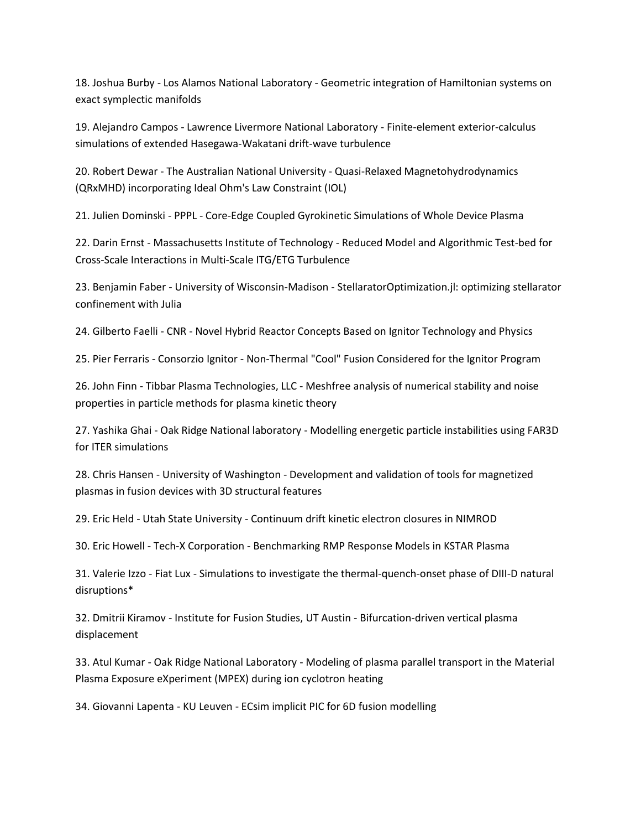18. Joshua Burby - Los Alamos National Laboratory - Geometric integration of Hamiltonian systems on exact symplectic manifolds

19. Alejandro Campos - Lawrence Livermore National Laboratory - Finite-element exterior-calculus simulations of extended Hasegawa-Wakatani drift-wave turbulence

20. Robert Dewar - The Australian National University - Quasi-Relaxed Magnetohydrodynamics (QRxMHD) incorporating Ideal Ohm's Law Constraint (IOL)

21. Julien Dominski - PPPL - Core-Edge Coupled Gyrokinetic Simulations of Whole Device Plasma

22. Darin Ernst - Massachusetts Institute of Technology - Reduced Model and Algorithmic Test-bed for Cross-Scale Interactions in Multi-Scale ITG/ETG Turbulence

23. Benjamin Faber - University of Wisconsin-Madison - StellaratorOptimization.jl: optimizing stellarator confinement with Julia

24. Gilberto Faelli - CNR - Novel Hybrid Reactor Concepts Based on Ignitor Technology and Physics

25. Pier Ferraris - Consorzio Ignitor - Non-Thermal "Cool" Fusion Considered for the Ignitor Program

26. John Finn - Tibbar Plasma Technologies, LLC - Meshfree analysis of numerical stability and noise properties in particle methods for plasma kinetic theory

27. Yashika Ghai - Oak Ridge National laboratory - Modelling energetic particle instabilities using FAR3D for ITER simulations

28. Chris Hansen - University of Washington - Development and validation of tools for magnetized plasmas in fusion devices with 3D structural features

29. Eric Held - Utah State University - Continuum drift kinetic electron closures in NIMROD

30. Eric Howell - Tech-X Corporation - Benchmarking RMP Response Models in KSTAR Plasma

31. Valerie Izzo - Fiat Lux - Simulations to investigate the thermal-quench-onset phase of DIII-D natural disruptions\*

32. Dmitrii Kiramov - Institute for Fusion Studies, UT Austin - Bifurcation-driven vertical plasma displacement

33. Atul Kumar - Oak Ridge National Laboratory - Modeling of plasma parallel transport in the Material Plasma Exposure eXperiment (MPEX) during ion cyclotron heating

34. Giovanni Lapenta - KU Leuven - ECsim implicit PIC for 6D fusion modelling